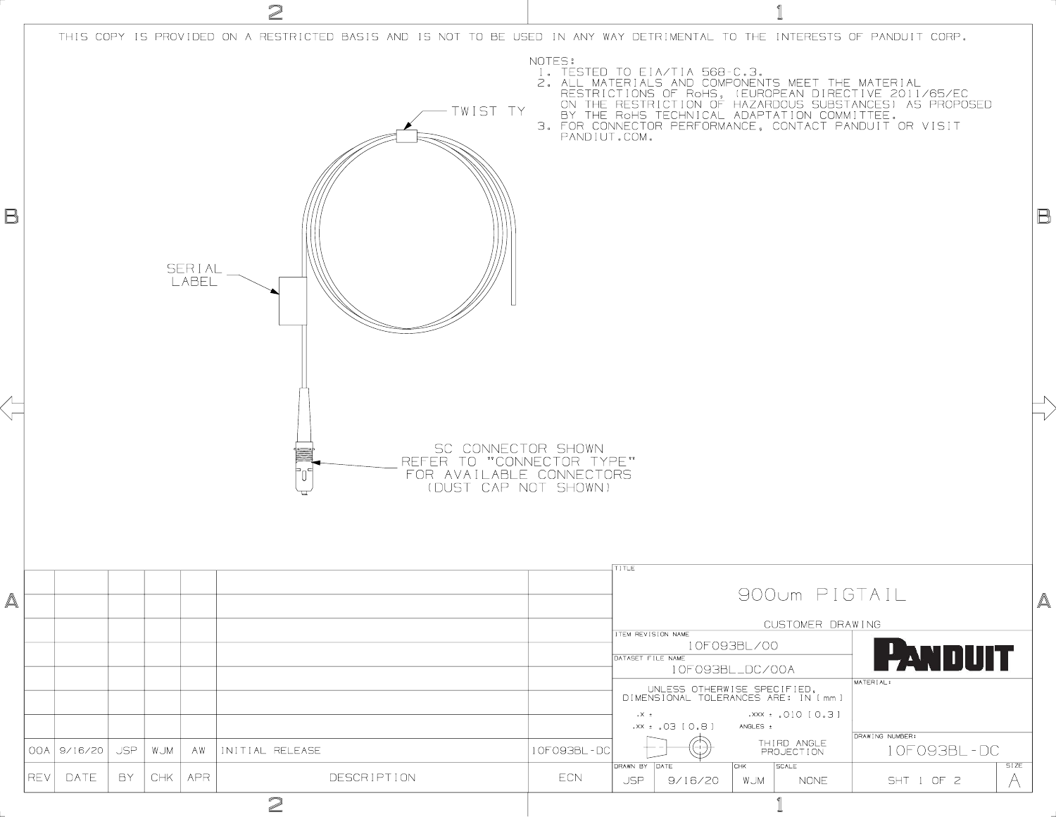